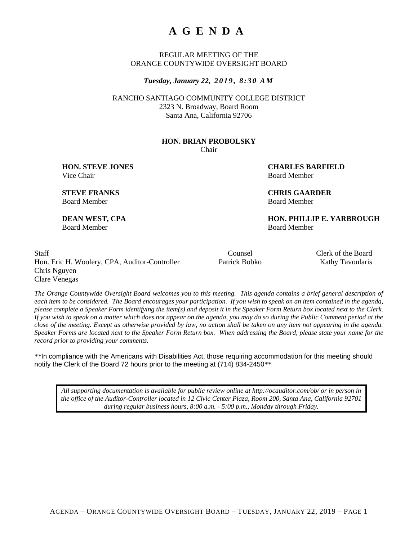# **A G E N D A**

REGULAR MEETING OF THE ORANGE COUNTYWIDE OVERSIGHT BOARD

*Tuesday, January 22, 2 0 1 9 , 8 : 3 0 A M*

RANCHO SANTIAGO COMMUNITY COLLEGE DISTRICT 2323 N. Broadway, Board Room Santa Ana, California 92706

#### **HON. BRIAN PROBOLSKY**

Chair

Vice Chair **Board Member** Board Member

**HON. STEVE JONES CHARLES BARFIELD**

**STEVE FRANKS CHRIS GAARDER** Board Member Board Member

**DEAN WEST, CPA HON. PHILLIP E. YARBROUGH** Board Member Board Member

Staff Counsel Clerk of the Board Hon. Eric H. Woolery, CPA, Auditor-Controller Patrick Bobko Kathy Tavoularis Chris Nguyen Clare Venegas

*The Orange Countywide Oversight Board welcomes you to this meeting. This agenda contains a brief general description of each item to be considered. The Board encourages your participation. If you wish to speak on an item contained in the agenda, please complete a Speaker Form identifying the item(s) and deposit it in the Speaker Form Return box located next to the Clerk. If you wish to speak on a matter which does not appear on the agenda, you may do so during the Public Comment period at the close of the meeting. Except as otherwise provided by law, no action shall be taken on any item not appearing in the agenda. Speaker Forms are located next to the Speaker Form Return box. When addressing the Board, please state your name for the record prior to providing your comments.*

*\*\**In compliance with the Americans with Disabilities Act, those requiring accommodation for this meeting should notify the Clerk of the Board 72 hours prior to the meeting at (714) 834-2450*\*\**

*All supporting documentation is available for public review online at http://ocauditor.com/ob/ or in person in the office of the Auditor-Controller located in 12 Civic Center Plaza, Room 200, Santa Ana, California 92701 during regular business hours, 8:00 a.m. - 5:00 p.m., Monday through Friday.*